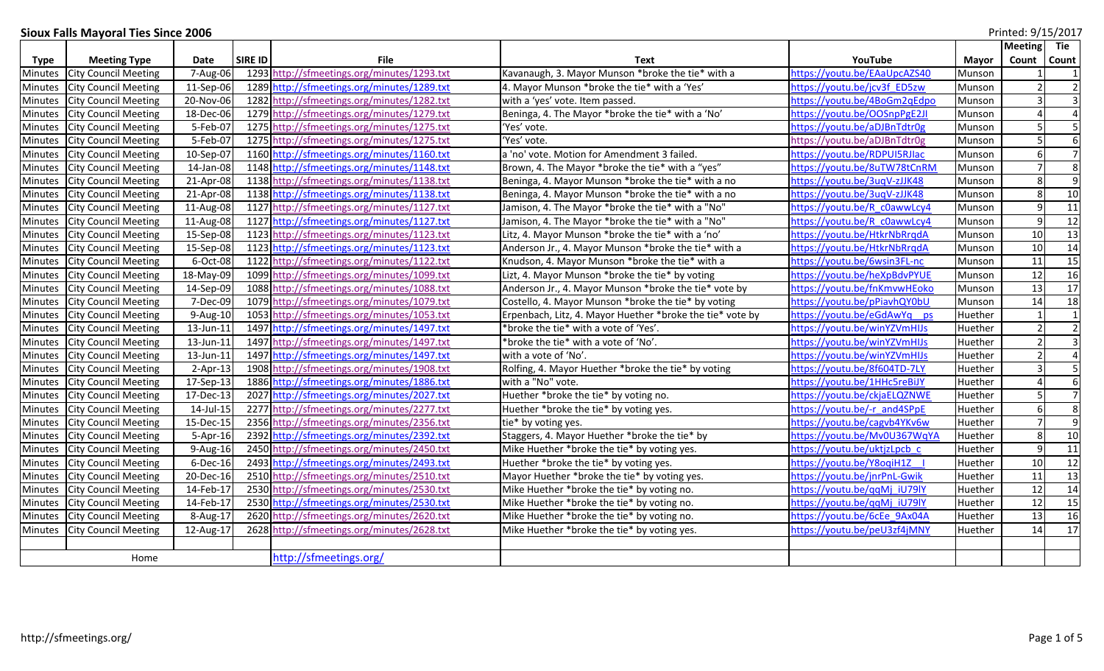## **Sioux Falls Mayoral Ties Since 2006**

|                | Printed: 9/15/2017<br><b>Sioux Falls Mayoral Ties Since 2006</b> |            |         |                                             |                                                           |                                      |              |                 |                         |
|----------------|------------------------------------------------------------------|------------|---------|---------------------------------------------|-----------------------------------------------------------|--------------------------------------|--------------|-----------------|-------------------------|
|                |                                                                  |            |         |                                             |                                                           |                                      |              | <b>Meeting</b>  | Tie                     |
| Type           | <b>Meeting Type</b>                                              | Date       | SIRE ID | File                                        | Text                                                      | YouTube                              | <b>Mayor</b> | Count           | <b>Count</b>            |
| Minutes        | <b>City Council Meeting</b>                                      | 7-Aug-06   |         | 1293 http://sfmeetings.org/minutes/1293.txt | Kavanaugh, 3. Mayor Munson *broke the tie* with a         | https://youtu.be/EAaUpcAZS40         | Munson       |                 |                         |
| Minutes        | <b>City Council Meeting</b>                                      | 11-Sep-06  |         | 1289 http://sfmeetings.org/minutes/1289.txt | 4. Mayor Munson *broke the tie* with a 'Yes'              | https://youtu.be/jcv3f ED5zw         | Munson       |                 | $\overline{2}$          |
| <b>Minutes</b> | <b>City Council Meeting</b>                                      | 20-Nov-06  |         | 1282 http://sfmeetings.org/minutes/1282.txt | with a 'yes' vote. Item passed.                           | https://youtu.be/4BoGm2qEdpo         | Munson       |                 | $\overline{3}$          |
| Minutes        | <b>City Council Meeting</b>                                      | 18-Dec-06  |         | 1279 http://sfmeetings.org/minutes/1279.txt | Beninga, 4. The Mayor *broke the tie* with a 'No'         | https://youtu.be/OOSnpPgE2JI         | Munson       |                 | $\overline{a}$          |
| Minutes        | <b>City Council Meeting</b>                                      | 5-Feb-07   |         | 1275 http://sfmeetings.org/minutes/1275.txt | 'Yes' vote.                                               | https://youtu.be/aDJBnTdtr0g         | Munson       |                 | 5                       |
| Minutes        | <b>City Council Meeting</b>                                      | 5-Feb-07   |         | 1275 http://sfmeetings.org/minutes/1275.txt | 'Yes' vote.                                               | https://youtu.be/aDJBnTdtr0g         | Munson       | $\overline{5}$  | $\boldsymbol{6}$        |
| Minutes        | <b>City Council Meeting</b>                                      | 10-Sep-07  |         | 1160 http://sfmeetings.org/minutes/1160.txt | a 'no' vote. Motion for Amendment 3 failed.               | https://youtu.be/RDPUI5RJIac         | Munson       | 6               | $\overline{7}$          |
| Minutes        | <b>City Council Meeting</b>                                      | 14-Jan-08  |         | 1148 http://sfmeetings.org/minutes/1148.txt | Brown, 4. The Mayor *broke the tie* with a "yes"          | https://youtu.be/8uTW78tCnRM         | Munson       |                 | $\infty$                |
| Minutes        | <b>City Council Meeting</b>                                      | 21-Apr-08  |         | 1138 http://sfmeetings.org/minutes/1138.txt | Beninga, 4. Mayor Munson *broke the tie* with a no        | https://youtu.be/3uqV-zJJK48         | Munson       | 8               | $\overline{9}$          |
| <b>Minutes</b> | <b>City Council Meeting</b>                                      | 21-Apr-08  |         | 1138 http://sfmeetings.org/minutes/1138.txt | Beninga, 4. Mayor Munson *broke the tie* with a no        | https://youtu.be/3ugV-zJJK48         | Munson       | 8               | 10                      |
| Minutes        | <b>City Council Meeting</b>                                      | 11-Aug-08  |         | 1127 http://sfmeetings.org/minutes/1127.txt | Jamison, 4. The Mayor *broke the tie* with a "No"         | https://youtu.be/R c0awwLcy4         | Munson       | $9\,$           | 11                      |
| Minutes        | <b>City Council Meeting</b>                                      | 11-Aug-08  |         | 1127 http://sfmeetings.org/minutes/1127.txt | Jamison, 4. The Mayor *broke the tie* with a "No"         | https://youtu.be/R c0awwLcy4         | Munson       | q               | 12                      |
| <b>Minutes</b> | <b>City Council Meeting</b>                                      | 15-Sep-08  |         | 1123 http://sfmeetings.org/minutes/1123.txt | Litz, 4. Mayor Munson *broke the tie* with a 'no'         | https://youtu.be/HtkrNbRrgdA         | Munson       | 10              | 13                      |
| Minutes        | <b>City Council Meeting</b>                                      | 15-Sep-08  |         | 1123 http://sfmeetings.org/minutes/1123.txt | Anderson Jr., 4. Mayor Munson *broke the tie* with a      | https://youtu.be/HtkrNbRrqdA         | Munson       | 10              | 14                      |
| Minutes        | <b>City Council Meeting</b>                                      | 6-Oct-08   |         | 1122 http://sfmeetings.org/minutes/1122.txt | Knudson, 4. Mayor Munson *broke the tie* with a           | https://youtu.be/6wsin3FL-nc         | Munson       | 11              | 15                      |
| Minutes        | <b>City Council Meeting</b>                                      | 18-May-09  |         | 1099 http://sfmeetings.org/minutes/1099.txt | Lizt, 4. Mayor Munson *broke the tie* by voting           | https://youtu.be/heXpBdvPYUE         | Munson       | 12              | 16                      |
| Minutes        | <b>City Council Meeting</b>                                      | 14-Sep-09  |         | 1088 http://sfmeetings.org/minutes/1088.txt | Anderson Jr., 4. Mayor Munson *broke the tie* vote by     | https://youtu.be/fnKmvwHEoko         | Munson       | 13              | 17                      |
| <b>Minutes</b> | <b>City Council Meeting</b>                                      | 7-Dec-09   |         | 1079 http://sfmeetings.org/minutes/1079.txt | Costello, 4. Mayor Munson *broke the tie* by voting       | https://youtu.be/pPiavhQY0bU         | Munson       | 14              | 18                      |
| <b>Minutes</b> | <b>City Council Meeting</b>                                      | 9-Aug-10   |         | 1053 http://sfmeetings.org/minutes/1053.txt | Erpenbach, Litz, 4. Mayor Huether *broke the tie* vote by | https://youtu.be/eGdAwYq ps          | Huether      |                 | $\overline{1}$          |
| Minutes        | <b>City Council Meeting</b>                                      | 13-Jun-11  |         | 1497 http://sfmeetings.org/minutes/1497.txt | *broke the tie* with a vote of 'Yes'.                     | https://youtu.be/winYZVmHIJs         | Huether      |                 | $\overline{2}$          |
| Minutes        | <b>City Council Meeting</b>                                      | 13-Jun-11  |         | 1497 http://sfmeetings.org/minutes/1497.txt | *broke the tie* with a vote of 'No'.                      | https://youtu.be/winYZVmHIJs         | Huether      |                 | $\overline{3}$          |
| Minutes        | <b>City Council Meeting</b>                                      | 13-Jun-11  |         | 1497 http://sfmeetings.org/minutes/1497.txt | with a vote of 'No'.                                      | https://youtu.be/winYZVmHIJs         | Huether      | $\mathcal{P}$   | $\overline{4}$          |
| Minutes        | <b>City Council Meeting</b>                                      | $2-Apr-13$ |         | 1908 http://sfmeetings.org/minutes/1908.txt | Rolfing, 4. Mayor Huether *broke the tie* by voting       | https://youtu.be/8f604TD-7LY         | Huether      | $\overline{3}$  | $\overline{\mathbf{5}}$ |
| Minutes        | <b>City Council Meeting</b>                                      | 17-Sep-13  |         | 1886 http://sfmeetings.org/minutes/1886.txt | with a "No" vote.                                         | https://youtu.be/1HHc5reBiJY         | Huether      | $\Delta$        | $\boldsymbol{6}$        |
| Minutes        | <b>City Council Meeting</b>                                      | 17-Dec-13  |         | 2027 http://sfmeetings.org/minutes/2027.txt | Huether *broke the tie* by voting no.                     | https://youtu.be/ckjaELQZNWE         | Huether      |                 | $\overline{7}$          |
| <b>Minutes</b> | <b>City Council Meeting</b>                                      | 14-Jul-15  |         | 2277 http://sfmeetings.org/minutes/2277.txt | Huether *broke the tie* by voting yes.                    | https://youtu.be/-r and4SPpE         | Huether      | 6               | $\infty$                |
| Minutes        | <b>City Council Meeting</b>                                      | 15-Dec-15  |         | 2356 http://sfmeetings.org/minutes/2356.txt | tie* by voting yes.                                       | https://youtu.be/cagvb4YKv6w         | Huether      | $\overline{7}$  | $\overline{9}$          |
| Minutes        | <b>City Council Meeting</b>                                      | 5-Apr-16   |         | 2392 http://sfmeetings.org/minutes/2392.txt | Staggers, 4. Mayor Huether *broke the tie* by             | https://youtu.be/Mv0U367WqYA         | Huether      | 8               | 10                      |
| <b>Minutes</b> | <b>City Council Meeting</b>                                      | 9-Aug-16   |         | 2450 http://sfmeetings.org/minutes/2450.txt | Mike Huether *broke the tie* by voting yes.               | https://youtu.be/uktjzLpcb_c         | Huether      | $\mathbf{q}$    | 11                      |
| Minutes        | <b>City Council Meeting</b>                                      | 6-Dec-16   |         | 2493 http://sfmeetings.org/minutes/2493.txt | Huether *broke the tie* by voting yes.                    | https://youtu.be/Y8oqiH1Z            | Huether      | 10              | 12                      |
| Minutes        | <b>City Council Meeting</b>                                      | 20-Dec-16  |         | 2510 http://sfmeetings.org/minutes/2510.txt | Mayor Huether *broke the tie* by voting yes.              | https://youtu.be/jnrPnL-Gwik         | Huether      | $\overline{11}$ | 13                      |
| Minutes        | <b>City Council Meeting</b>                                      | 14-Feb-17  |         | 2530 http://sfmeetings.org/minutes/2530.txt | Mike Huether *broke the tie* by voting no.                | https://youtu.be/ggMj_iU79lY         | Huether      | 12              | 14                      |
| <b>Minutes</b> | <b>City Council Meeting</b>                                      | 14-Feb-17  |         | 2530 http://sfmeetings.org/minutes/2530.txt | Mike Huether *broke the tie* by voting no.                | https://youtu.be/qqMj_iU79lY         | Huether      | 12              | 15                      |
| <b>Minutes</b> | <b>City Council Meeting</b>                                      | 8-Aug-17   |         | 2620 http://sfmeetings.org/minutes/2620.txt | Mike Huether *broke the tie* by voting no.                | https://youtu.be/6cEe 9Ax04A         | Huether      | $\overline{13}$ | 16                      |
| Minutes        | <b>City Council Meeting</b>                                      | 12-Aug-17  |         | 2628 http://sfmeetings.org/minutes/2628.txt | Mike Huether *broke the tie* by voting yes.               | <u> https://youtu.be/peU3zf4jMNY</u> | Huether      | 14              | 17                      |
|                |                                                                  |            |         |                                             |                                                           |                                      |              |                 |                         |
| Home           |                                                                  |            |         | http://sfmeetings.org/                      |                                                           |                                      |              |                 |                         |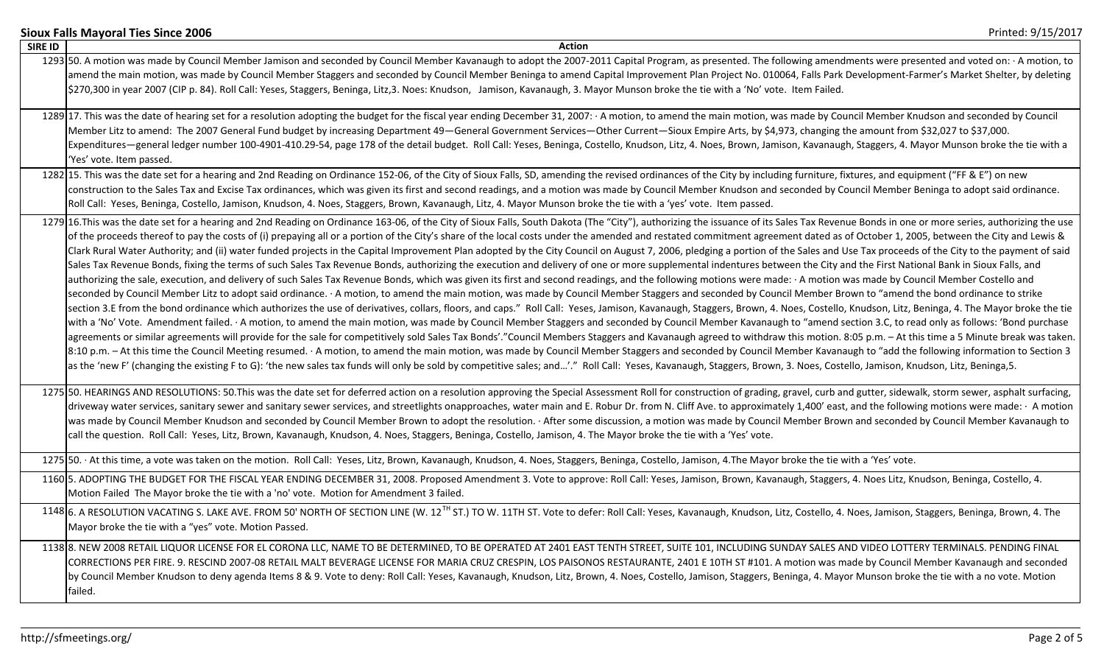|                | Printed: 9/15/2017<br><b>Sioux Falls Mayoral Ties Since 2006</b>                                                                                                                                                                                                                                                                                                                                                                                                                                                                                                                                                                                                                                                                                                                                                                                                                                                                                                                                                                                                                                                                                                                                                                                                                                                                                                                                                                                                                                                                                                                                                                                                                                                                                                                                                                                                                                                                                                                                                                                                                                                                                                                                                                                                                                                                                                                                                                                                                                                             |
|----------------|------------------------------------------------------------------------------------------------------------------------------------------------------------------------------------------------------------------------------------------------------------------------------------------------------------------------------------------------------------------------------------------------------------------------------------------------------------------------------------------------------------------------------------------------------------------------------------------------------------------------------------------------------------------------------------------------------------------------------------------------------------------------------------------------------------------------------------------------------------------------------------------------------------------------------------------------------------------------------------------------------------------------------------------------------------------------------------------------------------------------------------------------------------------------------------------------------------------------------------------------------------------------------------------------------------------------------------------------------------------------------------------------------------------------------------------------------------------------------------------------------------------------------------------------------------------------------------------------------------------------------------------------------------------------------------------------------------------------------------------------------------------------------------------------------------------------------------------------------------------------------------------------------------------------------------------------------------------------------------------------------------------------------------------------------------------------------------------------------------------------------------------------------------------------------------------------------------------------------------------------------------------------------------------------------------------------------------------------------------------------------------------------------------------------------------------------------------------------------------------------------------------------------|
| <b>SIRE ID</b> | <b>Action</b>                                                                                                                                                                                                                                                                                                                                                                                                                                                                                                                                                                                                                                                                                                                                                                                                                                                                                                                                                                                                                                                                                                                                                                                                                                                                                                                                                                                                                                                                                                                                                                                                                                                                                                                                                                                                                                                                                                                                                                                                                                                                                                                                                                                                                                                                                                                                                                                                                                                                                                                |
|                | 1293 50. A motion was made by Council Member Jamison and seconded by Council Member Kavanaugh to adopt the 2007-2011 Capital Program, as presented. The following amendments were presented and voted on: · A motion, to<br>amend the main motion, was made by Council Member Staggers and seconded by Council Member Beninga to amend Capital Improvement Plan Project No. 010064, Falls Park Development-Farmer's Market Shelter, by deleting<br>\$270,300 in year 2007 (CIP p. 84). Roll Call: Yeses, Staggers, Beninga, Litz,3. Noes: Knudson, Jamison, Kavanaugh, 3. Mayor Munson broke the tie with a 'No' vote. Item Failed.                                                                                                                                                                                                                                                                                                                                                                                                                                                                                                                                                                                                                                                                                                                                                                                                                                                                                                                                                                                                                                                                                                                                                                                                                                                                                                                                                                                                                                                                                                                                                                                                                                                                                                                                                                                                                                                                                          |
|                | 1289 17. This was the date of hearing set for a resolution adopting the budget for the fiscal year ending December 31, 2007: - A motion, to amend the main motion, was made by Council Member Knudson and seconded by Council<br>Member Litz to amend: The 2007 General Fund budget by increasing Department 49-General Government Services-Other Current-Sioux Empire Arts, by \$4,973, changing the amount from \$32,027 to \$37,000.<br>Expenditures—general ledger number 100-4901-410.29-54, page 178 of the detail budget. Roll Call: Yeses, Beninga, Costello, Knudson, Litz, 4. Noes, Brown, Jamison, Kavanaugh, Staggers, 4. Mayor Munson broke the tie with a<br>'Yes' vote. Item passed.                                                                                                                                                                                                                                                                                                                                                                                                                                                                                                                                                                                                                                                                                                                                                                                                                                                                                                                                                                                                                                                                                                                                                                                                                                                                                                                                                                                                                                                                                                                                                                                                                                                                                                                                                                                                                          |
|                | 1282 15. This was the date set for a hearing and 2nd Reading on Ordinance 152-06, of the City of Sioux Falls, SD, amending the revised ordinances of the City by including furniture, fixtures, and equipment ("FF & E") on ne<br>construction to the Sales Tax and Excise Tax ordinances, which was given its first and second readings, and a motion was made by Council Member Knudson and seconded by Council Member Beninga to adopt said ordinance.<br>Roll Call: Yeses, Beninga, Costello, Jamison, Knudson, 4. Noes, Staggers, Brown, Kavanaugh, Litz, 4. Mayor Munson broke the tie with a 'yes' vote. Item passed.                                                                                                                                                                                                                                                                                                                                                                                                                                                                                                                                                                                                                                                                                                                                                                                                                                                                                                                                                                                                                                                                                                                                                                                                                                                                                                                                                                                                                                                                                                                                                                                                                                                                                                                                                                                                                                                                                                 |
|                | 1279 16. This was the date set for a hearing and 2nd Reading on Ordinance 163-06, of the City of Sioux Falls, South Dakota (The "City"), authorizing the issuance of its Sales Tax Revenue Bonds in one or more series, author<br>of the proceeds thereof to pay the costs of (i) prepaying all or a portion of the City's share of the local costs under the amended and restated commitment agreement dated as of October 1, 2005, between the City and Lewis<br>Clark Rural Water Authority; and (ii) water funded projects in the Capital Improvement Plan adopted by the City Council on August 7, 2006, pledging a portion of the Sales and Use Tax proceeds of the City to the payment of<br>Sales Tax Revenue Bonds, fixing the terms of such Sales Tax Revenue Bonds, authorizing the execution and delivery of one or more supplemental indentures between the City and the First National Bank in Sioux Falls, and<br>authorizing the sale, execution, and delivery of such Sales Tax Revenue Bonds, which was given its first and second readings, and the following motions were made: · A motion was made by Council Member Costello and<br>seconded by Council Member Litz to adopt said ordinance. · A motion, to amend the main motion, was made by Council Member Staggers and seconded by Council Member Brown to "amend the bond ordinance to strike<br>section 3.E from the bond ordinance which authorizes the use of derivatives, collars, floors, and caps." Roll Call: Yeses, Jamison, Kavanaugh, Staggers, Brown, 4. Noes, Costello, Knudson, Litz, Beninga, 4. The Mayor broke<br>with a 'No' Vote. Amendment failed. A motion, to amend the main motion, was made by Council Member Staggers and seconded by Council Member Kavanaugh to "amend section 3.C, to read only as follows: 'Bond purchase<br>agreements or similar agreements will provide for the sale for competitively sold Sales Tax Bonds'."Council Members Staggers and Kavanaugh agreed to withdraw this motion. 8:05 p.m. - At this time a 5 Minute break was taken<br>8:10 p.m. - At this time the Council Meeting resumed. · A motion, to amend the main motion, was made by Council Member Staggers and seconded by Council Member Kavanaugh to "add the following information to Section 3<br>as the 'new F' (changing the existing F to G): 'the new sales tax funds will only be sold by competitive sales; and'." Roll Call: Yeses, Kavanaugh, Staggers, Brown, 3. Noes, Costello, Jamison, Knudson, Litz, Beninga, 5. |
|                | 1275 50. HEARINGS AND RESOLUTIONS: 50. This was the date set for deferred action on a resolution approving the Special Assessment Roll for construction of grading, gravel, curb and gutter, sidewalk, storm sewer, asphalt su<br>driveway water services, sanitary sewer and sanitary sewer services, and streetlights onapproaches, water main and E. Robur Dr. from N. Cliff Ave. to approximately 1,400' east, and the following motions were made: · A moti<br>was made by Council Member Knudson and seconded by Council Member Brown to adopt the resolution. · After some discussion, a motion was made by Council Member Brown and seconded by Council Member Kavanaugh to<br>call the question. Roll Call: Yeses, Litz, Brown, Kavanaugh, Knudson, 4. Noes, Staggers, Beninga, Costello, Jamison, 4. The Mayor broke the tie with a 'Yes' vote.                                                                                                                                                                                                                                                                                                                                                                                                                                                                                                                                                                                                                                                                                                                                                                                                                                                                                                                                                                                                                                                                                                                                                                                                                                                                                                                                                                                                                                                                                                                                                                                                                                                                    |
|                | 1275 50. At this time, a vote was taken on the motion. Roll Call: Yeses, Litz, Brown, Kavanaugh, Knudson, 4. Noes, Staggers, Beninga, Costello, Jamison, 4. The Mayor broke the tie with a 'Yes' vote.                                                                                                                                                                                                                                                                                                                                                                                                                                                                                                                                                                                                                                                                                                                                                                                                                                                                                                                                                                                                                                                                                                                                                                                                                                                                                                                                                                                                                                                                                                                                                                                                                                                                                                                                                                                                                                                                                                                                                                                                                                                                                                                                                                                                                                                                                                                       |
|                | 1160 5. ADOPTING THE BUDGET FOR THE FISCAL YEAR ENDING DECEMBER 31, 2008. Proposed Amendment 3. Vote to approve: Roll Call: Yeses, Jamison, Brown, Kavanaugh, Staggers, 4. Noes Litz, Knudson, Beninga, Costello, 4.<br>Motion Failed The Mayor broke the tie with a 'no' vote. Motion for Amendment 3 failed.                                                                                                                                                                                                                                                                                                                                                                                                                                                                                                                                                                                                                                                                                                                                                                                                                                                                                                                                                                                                                                                                                                                                                                                                                                                                                                                                                                                                                                                                                                                                                                                                                                                                                                                                                                                                                                                                                                                                                                                                                                                                                                                                                                                                               |
|                | 1148 6. A RESOLUTION VACATING S. LAKE AVE. FROM 50' NORTH OF SECTION LINE (W. 12 <sup>TH</sup> ST.) TO W. 11TH ST. Vote to defer: Roll Call: Yeses, Kavanaugh, Knudson, Litz, Costello, 4. Noes, Jamison, Staggers, Beninga, Brown, 4. T<br>Mayor broke the tie with a "yes" vote. Motion Passed.                                                                                                                                                                                                                                                                                                                                                                                                                                                                                                                                                                                                                                                                                                                                                                                                                                                                                                                                                                                                                                                                                                                                                                                                                                                                                                                                                                                                                                                                                                                                                                                                                                                                                                                                                                                                                                                                                                                                                                                                                                                                                                                                                                                                                            |
|                | 1138 8. NEW 2008 RETAIL LIQUOR LICENSE FOR EL CORONA LLC, NAME TO BE DETERMINED, TO BE OPERATED AT 2401 EAST TENTH STREET, SUITE 101, INCLUDING SUNDAY SALES AND VIDEO LOTTERY TERMINALS. PENDING FINAL<br>CORRECTIONS PER FIRE. 9. RESCIND 2007-08 RETAIL MALT BEVERAGE LICENSE FOR MARIA CRUZ CRESPIN, LOS PAISONOS RESTAURANTE, 2401 E 10TH ST #101. A motion was made by Council Member Kavanaugh and seconded<br>by Council Member Knudson to deny agenda Items 8 & 9. Vote to deny: Roll Call: Yeses, Kavanaugh, Knudson, Litz, Brown, 4. Noes, Costello, Jamison, Staggers, Beninga, 4. Mayor Munson broke the tie with a no vote. Motion<br>failed.                                                                                                                                                                                                                                                                                                                                                                                                                                                                                                                                                                                                                                                                                                                                                                                                                                                                                                                                                                                                                                                                                                                                                                                                                                                                                                                                                                                                                                                                                                                                                                                                                                                                                                                                                                                                                                                                  |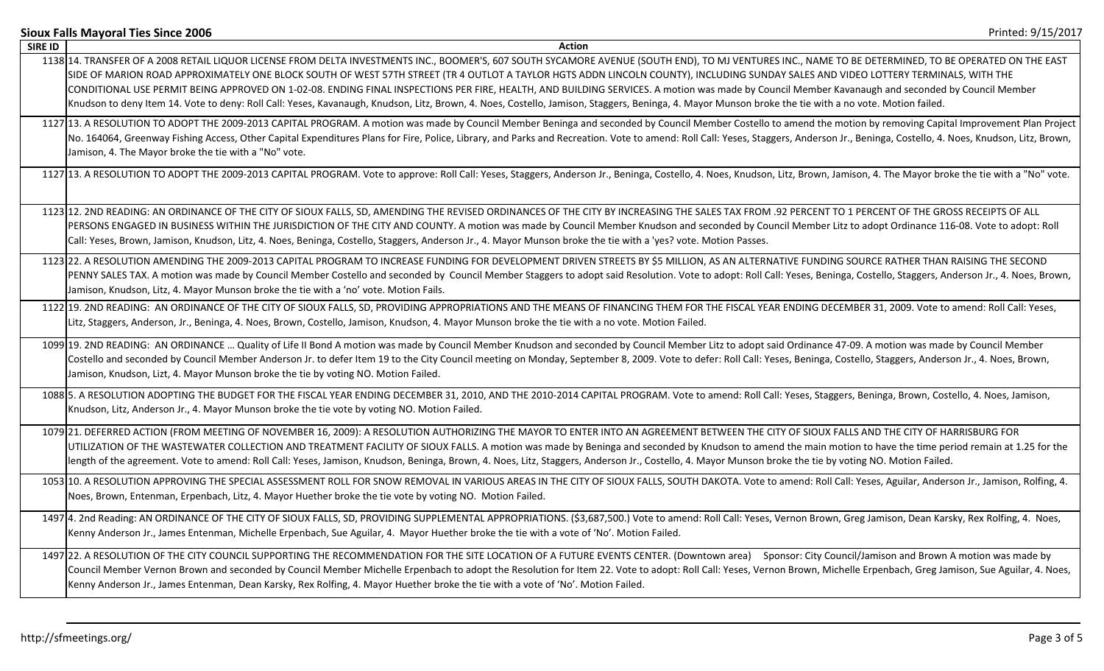|                | Printed: 9/15/2017<br><b>Sioux Falls Mayoral Ties Since 2006</b>                                                                                                                                                                                                                                                                                                                                                                                                                                                                                                                                                                                                                                                                                                                                           |
|----------------|------------------------------------------------------------------------------------------------------------------------------------------------------------------------------------------------------------------------------------------------------------------------------------------------------------------------------------------------------------------------------------------------------------------------------------------------------------------------------------------------------------------------------------------------------------------------------------------------------------------------------------------------------------------------------------------------------------------------------------------------------------------------------------------------------------|
| <b>SIRE ID</b> | Action                                                                                                                                                                                                                                                                                                                                                                                                                                                                                                                                                                                                                                                                                                                                                                                                     |
|                | 1138 14. TRANSFER OF A 2008 RETAIL LIQUOR LICENSE FROM DELTA INVESTMENTS INC., BOOMER'S, 607 SOUTH SYCAMORE AVENUE (SOUTH END), TO MJ VENTURES INC., NAME TO BE DETERMINED, TO BE OPERATED ON THE EAST<br>SIDE OF MARION ROAD APPROXIMATELY ONE BLOCK SOUTH OF WEST 57TH STREET (TR 4 OUTLOT A TAYLOR HGTS ADDN LINCOLN COUNTY), INCLUDING SUNDAY SALES AND VIDEO LOTTERY TERMINALS, WITH THE<br>CONDITIONAL USE PERMIT BEING APPROVED ON 1-02-08. ENDING FINAL INSPECTIONS PER FIRE, HEALTH, AND BUILDING SERVICES. A motion was made by Council Member Kavanaugh and seconded by Council Member<br>Knudson to deny Item 14. Vote to deny: Roll Call: Yeses, Kavanaugh, Knudson, Litz, Brown, 4. Noes, Costello, Jamison, Staggers, Beninga, 4. Mayor Munson broke the tie with a no vote. Motion failed. |
|                | 1127 13. A RESOLUTION TO ADOPT THE 2009-2013 CAPITAL PROGRAM. A motion was made by Council Member Beninga and seconded by Council Member Costello to amend the motion by removing Capital Improvement Plan Project<br>No. 164064, Greenway Fishing Access, Other Capital Expenditures Plans for Fire, Police, Library, and Parks and Recreation. Vote to amend: Roll Call: Yeses, Staggers, Anderson Jr., Beninga, Costello, 4. Noes, Knudson, Litz,<br>Jamison, 4. The Mayor broke the tie with a "No" vote.                                                                                                                                                                                                                                                                                              |
|                | 1127 13. A RESOLUTION TO ADOPT THE 2009-2013 CAPITAL PROGRAM. Vote to approve: Roll Call: Yeses, Staggers, Anderson Jr., Beninga, Costello, 4. Noes, Knudson, Litz, Brown, Jamison, 4. The Mayor broke the tie with a "No" vot                                                                                                                                                                                                                                                                                                                                                                                                                                                                                                                                                                             |
|                | 1123 12. 2ND READING: AN ORDINANCE OF THE CITY OF SIOUX FALLS, SD, AMENDING THE REVISED ORDINANCES OF THE CITY BY INCREASING THE SALES TAX FROM .92 PERCENT TO 1 PERCENT OF THE GROSS RECEIPTS OF ALL<br>PERSONS ENGAGED IN BUSINESS WITHIN THE JURISDICTION OF THE CITY AND COUNTY. A motion was made by Council Member Knudson and seconded by Council Member Litz to adopt Ordinance 116-08. Vote to adopt: Roll<br>Call: Yeses, Brown, Jamison, Knudson, Litz, 4. Noes, Beninga, Costello, Staggers, Anderson Jr., 4. Mayor Munson broke the tie with a 'yes? vote. Motion Passes.                                                                                                                                                                                                                     |
|                | 1123 22. A RESOLUTION AMENDING THE 2009-2013 CAPITAL PROGRAM TO INCREASE FUNDING FOR DEVELOPMENT DRIVEN STREETS BY \$5 MILLION, AS AN ALTERNATIVE FUNDING SOURCE RATHER THAN RAISING THE SECOND<br>PENNY SALES TAX. A motion was made by Council Member Costello and seconded by Council Member Staggers to adopt said Resolution. Vote to adopt: Roll Call: Yeses, Beninga, Costello, Staggers, Anderson Jr., 4. Noes, Brown,<br>Jamison, Knudson, Litz, 4. Mayor Munson broke the tie with a 'no' vote. Motion Fails.                                                                                                                                                                                                                                                                                    |
|                | 1122 19. 2ND READING: AN ORDINANCE OF THE CITY OF SIOUX FALLS, SD, PROVIDING APPROPRIATIONS AND THE MEANS OF FINANCING THEM FOR THE FISCAL YEAR ENDING DECEMBER 31, 2009. Vote to amend: Roll Call: Yeses,<br>Litz, Staggers, Anderson, Jr., Beninga, 4. Noes, Brown, Costello, Jamison, Knudson, 4. Mayor Munson broke the tie with a no vote. Motion Failed.                                                                                                                                                                                                                                                                                                                                                                                                                                             |
|                | 1099 19. 2ND READING: AN ORDINANCE  Quality of Life II Bond A motion was made by Council Member Knudson and seconded by Council Member Litz to adopt said Ordinance 47-09. A motion was made by Council Member<br>Costello and seconded by Council Member Anderson Jr. to defer Item 19 to the City Council meeting on Monday, September 8, 2009. Vote to defer: Roll Call: Yeses, Beninga, Costello, Staggers, Anderson Jr., 4. Noes, Brown,<br>Jamison, Knudson, Lizt, 4. Mayor Munson broke the tie by voting NO. Motion Failed.                                                                                                                                                                                                                                                                        |
|                | 1088 5. A RESOLUTION ADOPTING THE BUDGET FOR THE FISCAL YEAR ENDING DECEMBER 31, 2010, AND THE 2010-2014 CAPITAL PROGRAM. Vote to amend: Roll Call: Yeses, Staggers, Beninga, Brown, Costello, 4. Noes, Jamison,<br>Knudson, Litz, Anderson Jr., 4. Mayor Munson broke the tie vote by voting NO. Motion Failed.                                                                                                                                                                                                                                                                                                                                                                                                                                                                                           |
|                | 1079 21. DEFERRED ACTION (FROM MEETING OF NOVEMBER 16, 2009): A RESOLUTION AUTHORIZING THE MAYOR TO ENTER INTO AN AGREEMENT BETWEEN THE CITY OF SIOUX FALLS AND THE CITY OF HARRISBURG FOR<br>UTILIZATION OF THE WASTEWATER COLLECTION AND TREATMENT FACILITY OF SIOUX FALLS. A motion was made by Beninga and seconded by Knudson to amend the main motion to have the time period remain at 1.25 for the<br>length of the agreement. Vote to amend: Roll Call: Yeses, Jamison, Knudson, Beninga, Brown, 4. Noes, Litz, Staggers, Anderson Jr., Costello, 4. Mayor Munson broke the tie by voting NO. Motion Failed.                                                                                                                                                                                      |
|                | 1053 10. A RESOLUTION APPROVING THE SPECIAL ASSESSMENT ROLL FOR SNOW REMOVAL IN VARIOUS AREAS IN THE CITY OF SIOUX FALLS, SOUTH DAKOTA. Vote to amend: Roll Call: Yeses, Aguilar, Anderson Jr., Jamison, Rolfing, 4.<br>Noes, Brown, Entenman, Erpenbach, Litz, 4. Mayor Huether broke the tie vote by voting NO. Motion Failed.                                                                                                                                                                                                                                                                                                                                                                                                                                                                           |
|                | 1497 4. 2nd Reading: AN ORDINANCE OF THE CITY OF SIOUX FALLS, SD, PROVIDING SUPPLEMENTAL APPROPRIATIONS. (\$3,687,500.) Vote to amend: Roll Call: Yeses, Vernon Brown, Greg Jamison, Dean Karsky, Rex Rolfing, 4. Noes,<br>Kenny Anderson Jr., James Entenman, Michelle Erpenbach, Sue Aguilar, 4. Mayor Huether broke the tie with a vote of 'No'. Motion Failed.                                                                                                                                                                                                                                                                                                                                                                                                                                         |
|                | 1497 22. A RESOLUTION OF THE CITY COUNCIL SUPPORTING THE RECOMMENDATION FOR THE SITE LOCATION OF A FUTURE EVENTS CENTER. (Downtown area) Sponsor: City Council/Jamison and Brown A motion was made by<br>Council Member Vernon Brown and seconded by Council Member Michelle Erpenbach to adopt the Resolution for Item 22. Vote to adopt: Roll Call: Yeses, Vernon Brown, Michelle Erpenbach, Greg Jamison, Sue Aguilar, 4. Noes,<br>Kenny Anderson Jr., James Entenman, Dean Karsky, Rex Rolfing, 4. Mayor Huether broke the tie with a vote of 'No'. Motion Failed.                                                                                                                                                                                                                                     |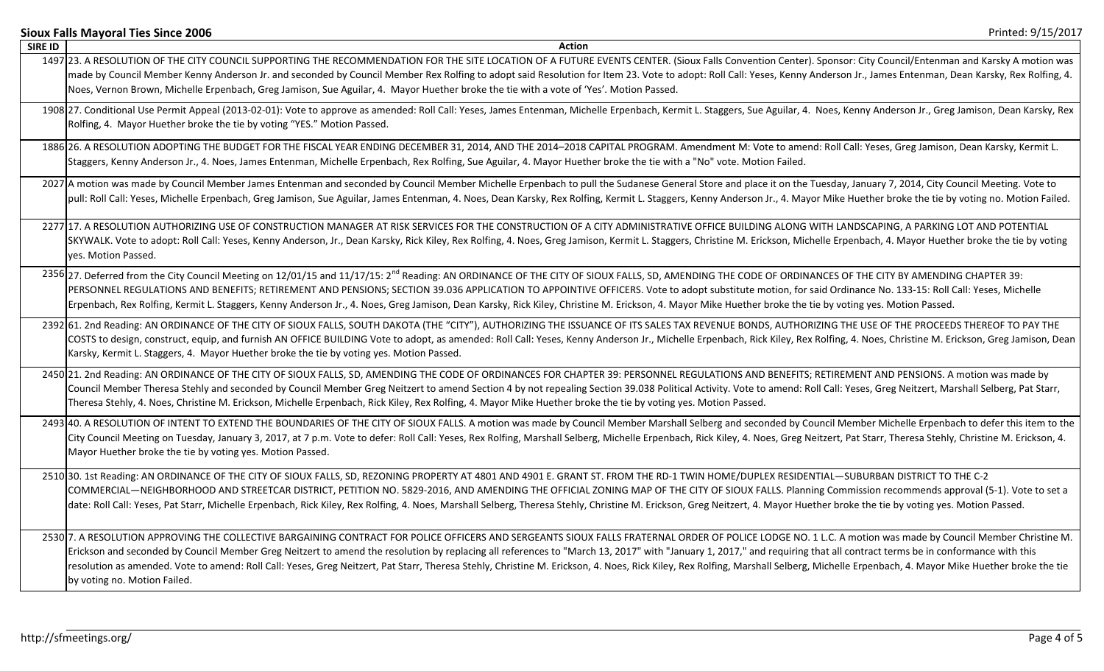|                | Printed: 9/15/2017<br><b>Sioux Falls Mayoral Ties Since 2006</b>                                                                                                                                                               |
|----------------|--------------------------------------------------------------------------------------------------------------------------------------------------------------------------------------------------------------------------------|
| <b>SIRE ID</b> | <b>Action</b>                                                                                                                                                                                                                  |
|                | 1497 23. A RESOLUTION OF THE CITY COUNCIL SUPPORTING THE RECOMMENDATION FOR THE SITE LOCATION OF A FUTURE EVENTS CENTER. (Sioux Falls Convention Center). Sponsor: City Council/Entenman and Karsky A motion was               |
|                | made by Council Member Kenny Anderson Jr. and seconded by Council Member Rex Rolfing to adopt said Resolution for Item 23. Vote to adopt: Roll Call: Yeses, Kenny Anderson Jr., James Entenman, Dean Karsky, Rex Rolfing, 4.   |
|                | Noes, Vernon Brown, Michelle Erpenbach, Greg Jamison, Sue Aguilar, 4. Mayor Huether broke the tie with a vote of 'Yes'. Motion Passed.                                                                                         |
|                | 1908 27. Conditional Use Permit Appeal (2013-02-01): Vote to approve as amended: Roll Call: Yeses, James Entenman, Michelle Erpenbach, Kermit L. Staggers, Sue Aguilar, 4. Noes, Kenny Anderson Jr., Greg Jamison, Dean Karsky |
|                | Rolfing, 4. Mayor Huether broke the tie by voting "YES." Motion Passed.                                                                                                                                                        |
|                | 1886 26. A RESOLUTION ADOPTING THE BUDGET FOR THE FISCAL YEAR ENDING DECEMBER 31, 2014, AND THE 2014-2018 CAPITAL PROGRAM. Amendment M: Vote to amend: Roll Call: Yeses, Greg Jamison, Dean Karsky, Kermit L.                  |
|                | Staggers, Kenny Anderson Jr., 4. Noes, James Entenman, Michelle Erpenbach, Rex Rolfing, Sue Aguilar, 4. Mayor Huether broke the tie with a "No" vote. Motion Failed.                                                           |
|                | 2027 A motion was made by Council Member James Entenman and seconded by Council Member Michelle Erpenbach to pull the Sudanese General Store and place it on the Tuesday, January 7, 2014, City Council Meeting. Vote to       |
|                | pull: Roll Call: Yeses, Michelle Erpenbach, Greg Jamison, Sue Aguilar, James Entenman, 4. Noes, Dean Karsky, Rex Rolfing, Kermit L. Staggers, Kenny Anderson Jr., 4. Mayor Mike Huether broke the tie by voting no. Motion Fai |
|                | 2277 17. A RESOLUTION AUTHORIZING USE OF CONSTRUCTION MANAGER AT RISK SERVICES FOR THE CONSTRUCTION OF A CITY ADMINISTRATIVE OFFICE BUILDING ALONG WITH LANDSCAPING, A PARKING LOT AND POTENTIAL                               |
|                | SKYWALK. Vote to adopt: Roll Call: Yeses, Kenny Anderson, Jr., Dean Karsky, Rick Kiley, Rex Rolfing, 4. Noes, Greg Jamison, Kermit L. Staggers, Christine M. Erickson, Michelle Erpenbach, 4. Mayor Huether broke the tie by v |
|                | yes. Motion Passed.                                                                                                                                                                                                            |
|                | 2356 27. Deferred from the City Council Meeting on 12/01/15 and 11/17/15: 2 <sup>nd</sup> Reading: AN ORDINANCE OF THE CITY OF SIOUX FALLS, SD, AMENDING THE CODE OF ORDINANCES OF THE CITY BY AMENDING CHAPTER 39:            |
|                | PERSONNEL REGULATIONS AND BENEFITS; RETIREMENT AND PENSIONS; SECTION 39.036 APPLICATION TO APPOINTIVE OFFICERS. Vote to adopt substitute motion, for said Ordinance No. 133-15: Roll Call: Yeses, Michelle                     |
|                | Erpenbach, Rex Rolfing, Kermit L. Staggers, Kenny Anderson Jr., 4. Noes, Greg Jamison, Dean Karsky, Rick Kiley, Christine M. Erickson, 4. Mayor Mike Huether broke the tie by voting yes. Motion Passed.                       |
|                | 2392 61. 2nd Reading: AN ORDINANCE OF THE CITY OF SIOUX FALLS, SOUTH DAKOTA (THE "CITY"), AUTHORIZING THE ISSUANCE OF ITS SALES TAX REVENUE BONDS, AUTHORIZING THE USE OF THE PROCEEDS THEREOF TO PAY THE                      |
|                | COSTS to design, construct, equip, and furnish AN OFFICE BUILDING Vote to adopt, as amended: Roll Call: Yeses, Kenny Anderson Jr., Michelle Erpenbach, Rick Kiley, Rex Rolfing, 4. Noes, Christine M. Erickson, Greg Jamison,  |
|                | Karsky, Kermit L. Staggers, 4. Mayor Huether broke the tie by voting yes. Motion Passed.                                                                                                                                       |
|                | 2450 21. 2nd Reading: AN ORDINANCE OF THE CITY OF SIOUX FALLS, SD, AMENDING THE CODE OF ORDINANCES FOR CHAPTER 39: PERSONNEL REGULATIONS AND BENEFITS; RETIREMENT AND PENSIONS. A motion was made by                           |
|                | Council Member Theresa Stehly and seconded by Council Member Greg Neitzert to amend Section 4 by not repealing Section 39.038 Political Activity. Vote to amend: Roll Call: Yeses, Greg Neitzert, Marshall Selberg, Pat Starr, |
|                | Theresa Stehly, 4. Noes, Christine M. Erickson, Michelle Erpenbach, Rick Kiley, Rex Rolfing, 4. Mayor Mike Huether broke the tie by voting yes. Motion Passed.                                                                 |
|                | 2493 40. A RESOLUTION OF INTENT TO EXTEND THE BOUNDARIES OF THE CITY OF SIOUX FALLS. A motion was made by Council Member Marshall Selberg and seconded by Council Member Michelle Erpenbach to defer this item to the          |
|                | City Council Meeting on Tuesday, January 3, 2017, at 7 p.m. Vote to defer: Roll Call: Yeses, Rex Rolfing, Marshall Selberg, Michelle Erpenbach, Rick Kiley, 4. Noes, Greg Neitzert, Pat Starr, Theresa Stehly, Christine M. Er |
|                | Mayor Huether broke the tie by voting yes. Motion Passed.                                                                                                                                                                      |
|                | 2510 30. 1st Reading: AN ORDINANCE OF THE CITY OF SIOUX FALLS, SD, REZONING PROPERTY AT 4801 AND 4901 E. GRANT ST. FROM THE RD-1 TWIN HOME/DUPLEX RESIDENTIAL-SUBURBAN DISTRICT TO THE C-2                                     |
|                | COMMERCIAL-NEIGHBORHOOD AND STREETCAR DISTRICT, PETITION NO. 5829-2016, AND AMENDING THE OFFICIAL ZONING MAP OF THE CITY OF SIOUX FALLS. Planning Commission recommends approval (5-1). Vote to set a                          |
|                | date: Roll Call: Yeses, Pat Starr, Michelle Erpenbach, Rick Kiley, Rex Rolfing, 4. Noes, Marshall Selberg, Theresa Stehly, Christine M. Erickson, Greg Neitzert, 4. Mayor Huether broke the tie by voting yes. Motion Passed.  |
|                | 2530 7. A RESOLUTION APPROVING THE COLLECTIVE BARGAINING CONTRACT FOR POLICE OFFICERS AND SERGEANTS SIOUX FALLS FRATERNAL ORDER OF POLICE LODGE NO. 1 L.C. A motion was made by Council Member Christine M.                    |
|                | Erickson and seconded by Council Member Greg Neitzert to amend the resolution by replacing all references to "March 13, 2017" with "January 1, 2017," and requiring that all contract terms be in conformance with this        |
|                | resolution as amended. Vote to amend: Roll Call: Yeses, Greg Neitzert, Pat Starr, Theresa Stehly, Christine M. Erickson, 4. Noes, Rick Kiley, Rex Rolfing, Marshall Selberg, Michelle Erpenbach, 4. Mayor Mike Huether broke t |
|                | by voting no. Motion Failed.                                                                                                                                                                                                   |
|                |                                                                                                                                                                                                                                |